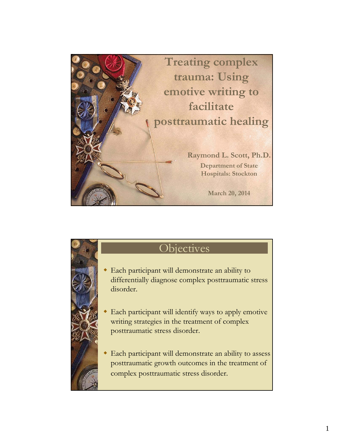



## **Objectives**

- Each participant will demonstrate an ability to differentially diagnose complex posttraumatic stress disorder.
- Each participant will identify ways to apply emotive writing strategies in the treatment of complex posttraumatic stress disorder.
- Each participant will demonstrate an ability to assess posttraumatic growth outcomes in the treatment of complex posttraumatic stress disorder.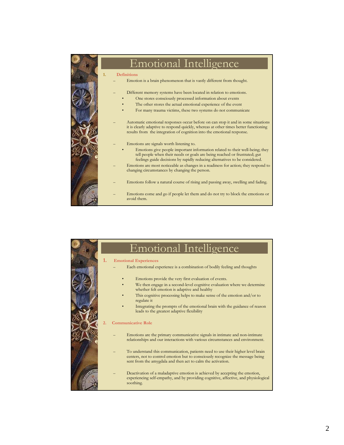

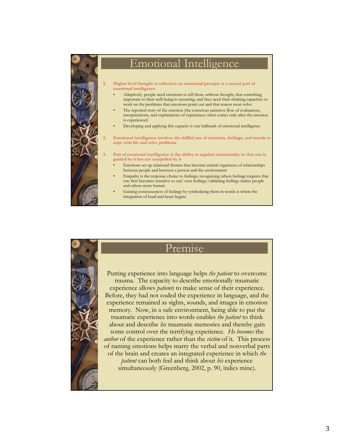

### Emotional Intelligence

- **1. Higher level thought or reflection on emotional prompts is a crucial part of emotional intelligence**
	- Adaptively, people need emotions to tell them, without thought, that something important to their well-being is occurring, and they need their thinking capacities to work on the problems that emotions point out and that reason must solve
	- The reported story of the emotion (the conscious narrative flow of evaluations, interpretations, and explanations of experience) often comes only after the emotion is experienced
	- Developing and applying this capacity is one hallmark of emotional intelligence
	- **2. Emotional intelligence involves the skillful use of emotions, feelings, and moods to cope with life and solve problems**
- Part of emotional intelligence is the ability to regulate emotionality so that one is **guided by it but not compelled by it**
	- Emotions set up relational themes that become central organizers of relationships between people and between a person and the environment
	- Empathy is the response choice to feelings; recognizing others feelings requires that one first becomes sensitive to one' own feelings; validating feelings makes people and others more human
	- Gaining consciousness of feelings by symbolizing them in words is where the integration of head and heart begins.

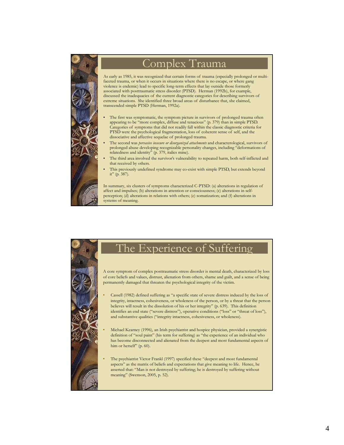

## Complex Trauma

As early as 1985, it was recognized that certain forms of trauma (especially prolonged or multifaceted trauma, or when it occurs in situations where there is no escape, or where gang violence is endemic) lead to specific long-term effects that lay outside those formerly associated with posttraumatic stress disorder (PTSD). Herman (1992b), for example, discussed the inadequacies of the current diagnostic categories for describing survivors of extreme situations. She identified three broad areas of disturbance that, she claimed, transcended simple PTSD (Herman, 1992a).

- The first was symptomatic, the symptom picture in survivors of prolonged trauma often appearing to be "more complex, diffuse and tenacious" (p. 379) than in simple PTSD. Categories of symptoms that did not readily fall within the classic diagnostic criteria for PTSD were the psychological fragmentation, loss of coherent sense of self, and the dissociative and affective sequelae of prolonged trauma.
- The second was *pervasive insecure or disorganized attachments* and characterological, survivors of prolonged abuse developing recognizable personality changes, including "deformations of relatedness and identity" (p. 379, italics mine).
- The third area involved the survivor's vulnerability to repeated harm, both self-inflicted and that received by others.
- This previously undefined syndrome may co-exist with simple PTSD, but extends beyond it" (p. 387).

In summary, six clusters of symptoms characterized C-PTSD: (a) alterations in regulation of affect and impulses; (b) alterations in attention or consciousness; (c) alterations in selfperception; (d) alterations in relations with others; (e) somatization; and (f) alterations in systems of meaning.

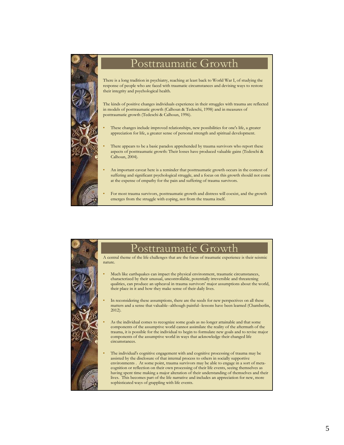

### Posttraumatic Growth

There is a long tradition in psychiatry, reaching at least back to World War I, of studying the response of people who are faced with traumatic circumstances and devising ways to restore their integrity and psychological health.

The kinds of positive changes individuals experience in their struggles with trauma are reflected in models of posttraumatic growth (Calhoun & Tedeschi, 1998) and in measures of posttraumatic growth (Tedeschi & Calhoun, 1996).

- These changes include improved relationships, new possibilities for one's life, a greater appreciation for life, a greater sense of personal strength and spiritual development.
- There appears to be a basic paradox apprehended by trauma survivors who report these aspects of posttraumatic growth: Their losses have produced valuable gains (Tedeschi & Calhoun, 2004).
- An important caveat here is a reminder that posttraumatic growth occurs in the context of suffering and significant psychological struggle, and a focus on this growth should not come at the expense of empathy for the pain and suffering of trauma survivors.
- For most trauma survivors, posttraumatic growth and distress will coexist, and the growth emerges from the struggle with coping, not from the trauma itself.

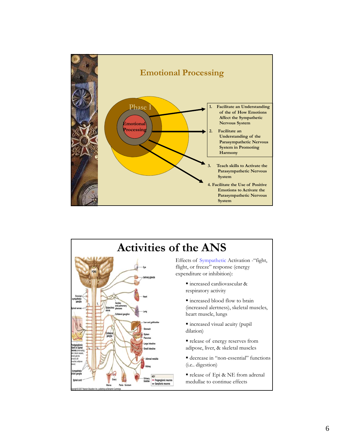

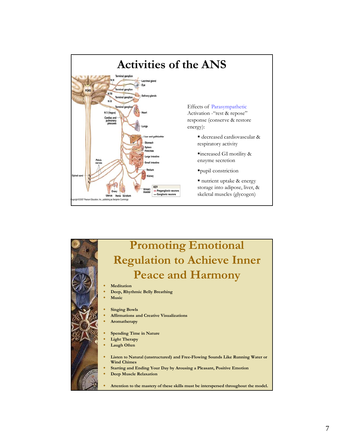

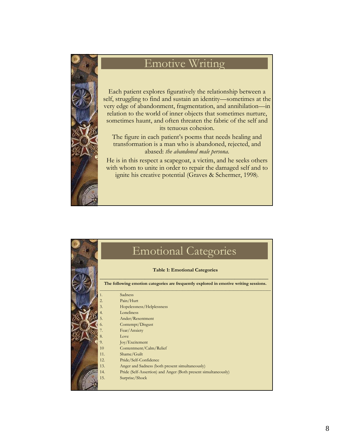

## Emotive Writing

Each patient explores figuratively the relationship between a self, struggling to find and sustain an identity—sometimes at the very edge of abandonment, fragmentation, and annihilation—in relation to the world of inner objects that sometimes nurture, sometimes haunt, and often threaten the fabric of the self and its tenuous cohesion.

The figure in each patient's poems that needs healing and transformation is a man who is abandoned, rejected, and abased: *the abandoned male persona*.

He is in this respect a scapegoat, a victim, and he seeks others with whom to unite in order to repair the damaged self and to ignite his creative potential (Graves & Schermer, 1998).

|  | <b>Emotional Categories</b><br><b>Table 1: Emotional Categories</b><br>The following emotion categories are frequently explored in emotive writing sessions. |                                                                |  |
|--|--------------------------------------------------------------------------------------------------------------------------------------------------------------|----------------------------------------------------------------|--|
|  |                                                                                                                                                              |                                                                |  |
|  |                                                                                                                                                              |                                                                |  |
|  | 1.                                                                                                                                                           | Sadness                                                        |  |
|  | 2.                                                                                                                                                           | Pain/Hurt                                                      |  |
|  | $\overline{3}$ .                                                                                                                                             | Hopelessness/Helplessness                                      |  |
|  | 4.                                                                                                                                                           | Loneliness                                                     |  |
|  | 5.                                                                                                                                                           | Ander/Resentment                                               |  |
|  | 6.                                                                                                                                                           | Contempt/Disgust                                               |  |
|  |                                                                                                                                                              | Fear/Anxiety                                                   |  |
|  | 8.                                                                                                                                                           | Love                                                           |  |
|  | 9.                                                                                                                                                           | Joy/Excitement                                                 |  |
|  | 10                                                                                                                                                           | Contentment/Calm/Relief                                        |  |
|  | 11.                                                                                                                                                          | Shame/Guilt                                                    |  |
|  | 12.                                                                                                                                                          | Pride/Self-Confidence                                          |  |
|  | 13.                                                                                                                                                          | Anger and Sadness (both present simultaneously)                |  |
|  | 14.                                                                                                                                                          | Pride (Self-Assertion) and Anger (Both present simultaneously) |  |
|  | 15.                                                                                                                                                          | Surprise/Shock                                                 |  |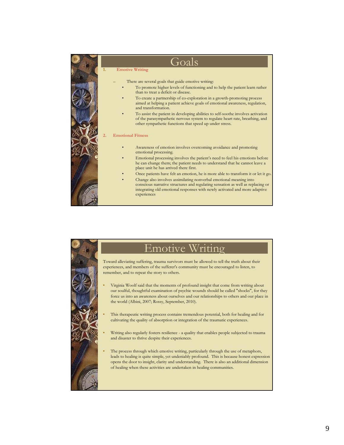



## Emotive Writing

Toward alleviating suffering, trauma survivors must be allowed to tell the truth about their experiences, and members of the sufferer's community must be encouraged to listen, to remember, and to repeat the story to others.

- Virginia Woolf said that the moments of profound insight that come from writing about our soulful, thoughtful examination of psychic wounds should be called "shocks", for they force us into an awareness about ourselves and our relationships to others and our place in the world (Albini, 2007; Rossy, September, 2010).
- This therapeutic writing process contains tremendous potential, both for healing and for cultivating the quality of absorption or integration of the traumatic experiences.
- Writing also regularly fosters resilience a quality that enables people subjected to trauma and disaster to thrive despite their experiences.
- The process through which emotive writing, particularly through the use of metaphors, leads to healing is quite simple, yet undeniably profound. This is because honest expression opens the door to insight, clarity and understanding. There is also an additional dimension of healing when these activities are undertaken in healing communities.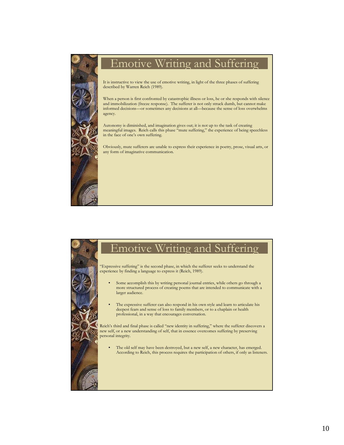

## Emotive Writing and Suffering

It is instructive to view the use of emotive writing, in light of the three phases of suffering described by Warren Reich (1989).

When a person is first confronted by catastrophic illness or loss, he or she responds with silence and immobilization (freeze response). The sufferer is not only struck dumb, but cannot make informed decisions—or sometimes any decisions at all—because the sense of loss overwhelms agency.

Autonomy is diminished, and imagination gives out; it is not up to the task of creating meaningful images. Reich calls this phase "mute suffering," the experience of being speechless in the face of one's own suffering.

Obviously, mute sufferers are unable to express their experience in poetry, prose, visual arts, or any form of imaginative communication.

## Emotive Writing and Suffering

"Expressive suffering" is the second phase, in which the sufferer seeks to understand the experience by finding a language to express it (Reich, 1989).

- Some accomplish this by writing personal journal entries, while others go through a more structured process of creating poems that are intended to communicate with a larger audience.
- The expressive sufferer can also respond in his own style and learn to articulate his deepest fears and sense of loss to family members, or to a chaplain or health professional, in a way that encourages conversation.

Reich's third and final phase is called "new identity in suffering," where the sufferer discovers a new self, or a new understanding of self, that in essence overcomes suffering by preserving personal integrity.

• The old self may have been destroyed, but a new self, a new character, has emerged. According to Reich, this process requires the participation of others, if only as listeners.

10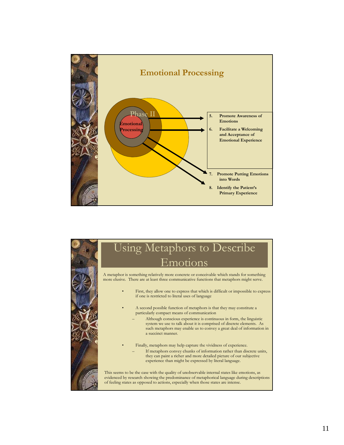

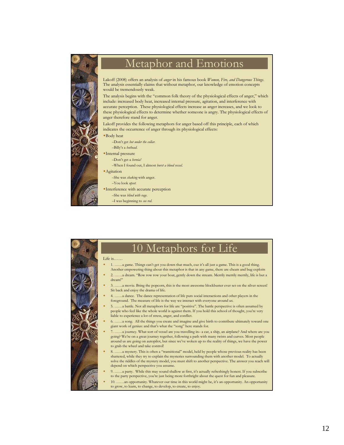

### Metaphor and Emotions

Lakoff (2008) offers an analysis of *anger* in his famous book *Women, Fire, and Dangerous Things*. The analysis essentially claims that without metaphor, our knowledge of emotion concepts would be tremendously weak.

The analysis begins with the "common folk theory of the physiological effects of anger," which include: increased body heat, increased internal pressure, agitation, and interference with accurate perception. These physiological effects increase as anger increases, and we look to these physiological effects to determine whether someone is angry. The physiological effects of anger therefore stand for anger.

Lakoff provides the following metaphors for anger based off this principle, each of which indicates the occurrence of anger through its physiological effects:

Body heat

- –Don't get *hot under the collar.*
- –Billy's a *hothead*.
- Internal pressure
	- –Don't get a *hernia!*
	- –When I found out, I almost *burst a blood vessel*.

Agitation

- –She was *shaking* with anger. –You look *upset*.
- Interference with accurate perception
	- –She was *blind with rage*.
	-
	- –I was beginning to *see red*.

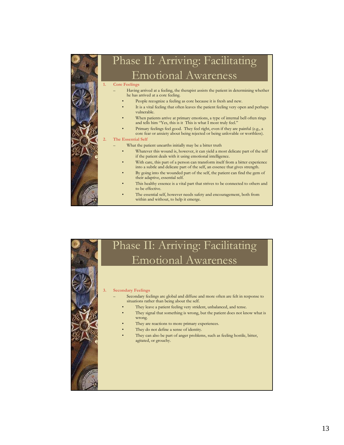

# Phase II: Arriving: Facilitating Emotional Awareness

#### **1. Core Feelings**

- Having arrived at a feeling, the therapist assists the patient in determining whether he has arrived at a core feeling.
	- People recognize a feeling as core because it is fresh and new.
	- It is a vital feeling that often leaves the patient feeling very open and perhaps vulnerable.
	- When patients arrive at primary emotions, a type of internal bell often rings and tells him "Yes, this is it This is what I most truly feel."
	- Primary feelings feel good. They feel right, even if they are painful (e.g., a core fear or anxiety about being rejected or being unlovable or worthless).

#### **2. The Essential Self**

- What the patient unearths initially may be a bitter truth
	- Whatever this wound is, however, it can yield a most delicate part of the self if the patient deals with it using emotional intelligence.
	- With care, this part of a person can transform itself from a bitter experience into a subtle and delicate part of the self, an essence that gives strength.
	- By going into the wounded part of the self, the patient can find the gem of their adaptive, essential self.
	- This healthy essence is a vital part that strives to be connected to others and to be effective.
	- The essential self, however needs safety and encouragement, both from within and without, to help it emerge.

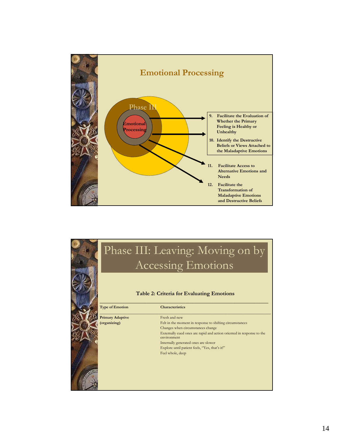

|                                         | Phase III: Leaving: Moving on by<br>Accessing Emotions                                                                                                                                                              |
|-----------------------------------------|---------------------------------------------------------------------------------------------------------------------------------------------------------------------------------------------------------------------|
| <b>Type of Emotion</b>                  | <b>Table 2: Criteria for Evaluating Emotions</b><br><b>Characteristics</b>                                                                                                                                          |
| <b>Primary Adaptive</b><br>(organizing) | Fresh and new<br>Felt in the moment in response to shifting circumstances                                                                                                                                           |
|                                         | Changes when circumstances change<br>Externally cued ones are rapid and action oriented in response to the<br>environment<br>Internally generated ones are slower<br>Explore until patient feels, "Yes, that's it!" |
|                                         | Feel whole, deep                                                                                                                                                                                                    |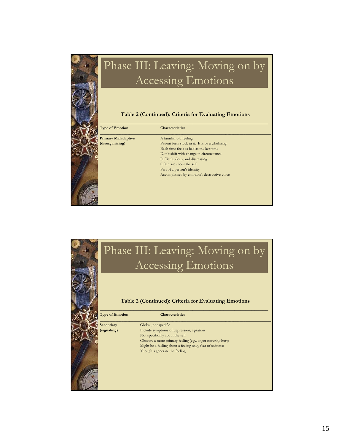

# Phase III: Leaving: Moving on by Accessing Emotions

#### **Table 2 (Continued): Criteria for Evaluating Emotions \_\_\_\_\_\_\_\_\_\_\_\_\_\_\_\_\_\_\_\_\_\_\_\_\_\_\_\_\_\_\_\_\_\_\_\_\_\_\_\_\_\_\_\_\_\_\_\_\_\_\_\_\_\_\_\_\_\_\_\_**

**Type of Emotion Characteristics \_\_\_\_\_\_\_\_\_\_\_\_\_\_\_\_\_\_\_\_\_\_\_\_\_\_\_\_\_\_\_\_\_\_\_\_\_\_\_\_\_\_\_\_\_\_\_\_\_\_\_\_\_\_\_\_\_\_\_\_\_\_\_\_\_\_\_\_\_\_\_\_\_\_\_\_\_\_\_\_\_\_\_\_\_\_\_ Primary Maladaptive** A familiar old feeling

**(disorganizing)** Patient feels stuck in it. It is overwhelming Each time feels as bad as the last time Don't shift with change in circumstance Difficult, deep, and distressing Often are about the self Part of a person's identity Accomplished by emotion's destructive voice

|                        | Phase III: Leaving: Moving on by<br>Accessing Emotions     |
|------------------------|------------------------------------------------------------|
|                        | Table 2 (Continued): Criteria for Evaluating Emotions      |
| <b>Type of Emotion</b> | <b>Characteristics</b>                                     |
| Secondary              | Global, nonspecific                                        |
| (signaling)            | Include symptoms of depression, agitation                  |
|                        | Not specifically about the self                            |
|                        | Obscure a more primary feeling (e.g., anger covering hurt) |
|                        | Might be a feeling about a feeling (e.g., fear of sadness) |
|                        | Thoughts generate the feeling.                             |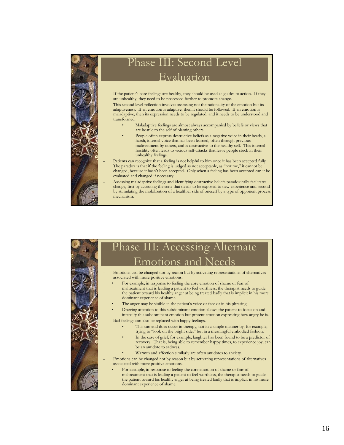

## Phase III: Second Level Evaluation

– If the patient's core feelings are healthy, they should be used as guides to action. If they are unhealthy, they need to be processed further to promote change.

This second level reflection involves assessing not the rationality of the emotion but its adaptiveness. If an emotion is adaptive, then it should be followed. If an emotion is maladaptive, then its expression needs to be regulated, and it needs to be understood and transformed.

- Maladaptive feelings are almost always accompanied by beliefs or views that are hostile to the self of blaming others
- People often express destructive beliefs as a negative voice in their heads, a harsh, internal voice that has been learned, often through previous maltreatment by others, and is destructive to the healthy self. This internal hostility often leads to vicious self-attacks that leave people stuck in their unhealthy feelings.

Patients can recognize that a feeling is not helpful to him once it has been accepted fully. The paradox is that if the feeling is judged as not acceptable, as "not me," it cannot be changed, because it hasn't been accepted. Only when a feeling has been accepted can it be evaluated and changed if necessary.

– Assessing maladaptive feelings and identifying destructive beliefs paradoxically facilitates change, first by accessing the state that needs to be exposed to new experience and second by stimulating the mobilization of a healthier side of oneself by a type of opponent process mechanism.

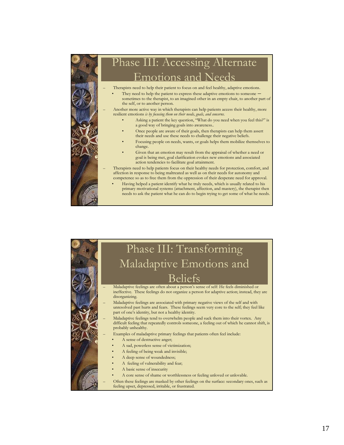

# Phase III: Accessing Alternate Emotions and Needs

- Therapists need to help their patient to focus on and feel healthy, adaptive emotions. They need to help the patient to express these adaptive emotions to someone -
- sometimes to the therapist, to an imagined other in an empty chair, to another part of the self, or to another person.
- Another more active way in which therapists can help patients access their healthy, more resilient emotions *is by focusing them on their needs, goals, and concerns*.
	- Asking a patient the key question, "What do you need when you feel this?" is a good way of bringing goals into awareness..
	- Once people are aware of their goals, then therapists can help them assert their needs and use these needs to challenge their negative beliefs.
	- Focusing people on needs, wants, or goals helps them mobilize themselves to change.
	- Given that an emotion may result from the appraisal of whether a need or goal is being met, goal clarification evokes new emotions and associated action tendencies to facilitate goal attainment.
- Therapists need to help patients focus on their healthy needs for protection, comfort, and affection in response to being maltreated as well as on their needs for autonomy and competence so as to free them from the oppression of their desperate need for approval.
- Having helped a patient identify what he truly needs, which is usually related to his primary motivational systems (attachment, affection, and mastery), the therapist then needs to ask the patient what he can do to begin trying to get some of what he needs.

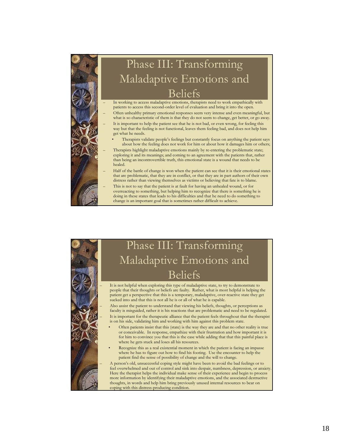

# Phase III: Transforming Maladaptive Emotions and  ${\rm Belies}$  In working to access maladaptive emotions, therapists need to work empathically with

patients to access this second-order level of evaluation and bring it into the open.

– Often unhealthy primary emotional responses seem very intense and even meaningful, but what is so characteristic of them is that they do not seem to change, get better, or go away.

It is important to help the patient see that he is not bad, or even wrong, for feeling this way but that the feeling is not functional, leaves them feeling bad, and does not help him get what he needs.

- Therapists validate people's feelings but constantly focus on anything the patient says about how the feeling does not work for him or about how it damages him or others;
- Therapists highlight maladaptive emotions mainly by re-entering the problematic state; exploring it and its meanings; and coming to an agreement with the patients that, rather than being an incontrovertible truth, this emotional state is a wound that needs to be healed.
- Half of the battle of change is won when the patient can see that it is their emotional states that are problematic, that they are in conflict, or that they are in part authors of their own distress rather than viewing themselves as victims or believing that fate is to blame.
- This is not to say that the patient is at fault for having an unhealed wound, or for overreacting to something, but helping him to recognize that there is something he is doing in these states that leads to his difficulties and that he need to do something to change is an important goal that is sometimes rather difficult to achieve.



– It is not helpful when exploring this type of maladaptive state, to try to demonstrate to people that their thoughts or beliefs are faulty. Rather, what is most helpful is helping the patient get a perspective that this is a temporary, maladaptive, over-reactive state they get sucked into and that this is not all he is or all of what he is capable.

– Also assist the patient to understand that viewing his beliefs, thoughts, or perceptions as faculty is misguided, rather it is his reactions that are problematic and need to be regulated. It is important for the therapeutic alliance that the patient feels throughout that the therapist is on his side, validating him and working with him against this problem state.

- Often patients insist that this (state) is the way they are and that no other reality is true or conceivable. In response, empathize with their frustration and how important it is for him to convince you that this is the case while adding that that this painful place is where he gets stuck and loses all his resources.
- Recognize this as a real existential moment in which the patient is facing an impasse where he has to figure out how to find his footing. Use the encounter to help the patient find the sense of possibility of change and the will to change.

– A person's old, unsuccessful coping style might have been to avoid the bad feelings or to feel overwhelmed and out of control and sink into despair, numbness, depression, or anxiety. Here the therapist helps the individual make sense of their experience and begin to process more information by identifying their maladaptive emotions, and the associated destructive thoughts, in words and help him bring previously unused internal resources to bear on coping with this distress-producing condition.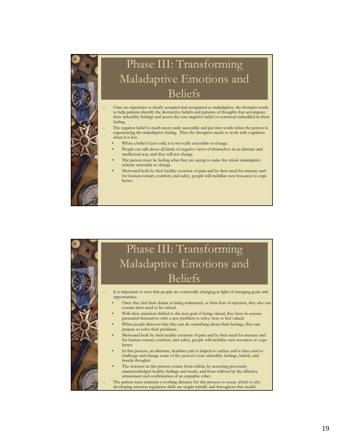

# Phase III: Transforming Maladaptive Emotions and Beliefs

- Once an experience is clearly accepted and recognized as maladaptive, the therapist needs to help patients identify the destructive beliefs and patterns of thoughts that accompany their unhealthy feelings and access the core negative belief or construal embedded in these feeling.
- The negative belief is much more easily accessible and put into words when the person in experiencing the maladaptive feeling. Thus the therapists needs to work with cognition when it is hot.
	- When a belief is just cold, it is not really accessible to change.
- People can talk about all kinds of negative views of themselves in an abstract and intellectual way, and they will not change.
- The person must be feeling what they are saying to make the whole maladaptive scheme amenable to change.
- Motivated both by their healthy aversion of pain and by their need for mastery and for human contact, comfort, and safety, people will mobilize new resources to cope better.

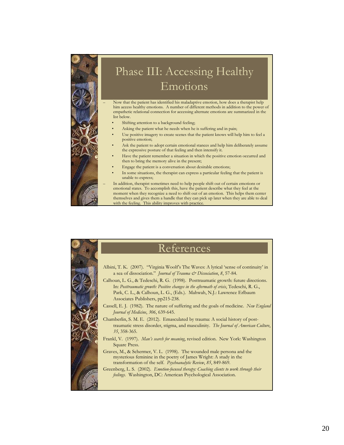

# Phase III: Accessing Healthy Emotions

– Now that the patient has identified his maladaptive emotion, how does a therapist help him access healthy emotions. A number of different methods in addition to the power of empathetic relational connection for accessing alternate emotions are summarized in the list below.

- Shifting attention to a background feeling;
- Asking the patient what he needs when he is suffering and in pain;
- Use positive imagery to create scenes that the patient knows will help him to feel a positive emotion;
- Ask the patient to adopt certain emotional stances and help him deliberately assume the expressive posture of that feeling and then intensify it.
- Have the patient remember a situation in which the positive emotion occurred and then to bring the memory alive in the present;
- Engage the patient is a conversation about desirable emotions;
- In some situations, the therapist can express a particular feeling that the patient is unable to express;
- In addition, therapist sometimes need to help people shift out of certain emotions or emotional states. To accomplish this, have the patient describe what they feel at the moment when they recognize a need to shift out of an emotion. This helps them center themselves and gives them a handle that they can pick up later when they are able to deal with the feeling. This ability improves with practice

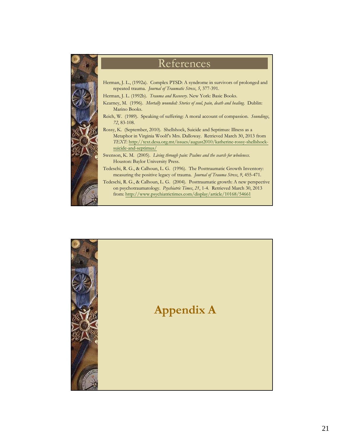

## References

Herman, J. L., (1992a). Complex PTSD: A syndrome in survivors of prolonged and repeated trauma. *Journal of Traumatic Stress*, *5*, 377-391.

Herman, J. L. (1992b). *Trauma and Recovery*. New York: Basic Books.

Kearney, M. (1996). *Mortally wounded: Stories of soul, pain, death and healing*. Dublin: Marino Books.

Rossy, K. (September, 2010). Shellshock, Suicide and Septimus: Illness as a Metaphor in Virginia Woolf's Mrs. Dalloway. Retrieved March 30, 2013 from *TEXT*: http://text.desa.org.mt/issues/august2010/katherine-rossy-shellshocksuicide-and-septimus/

Swenson, K. M. (2005). *Living through pain: Psalms and the search for wholeness*. Houston: Baylor University Press.

Tedeschi, R. G., & Calhoun, L. G. (1996). The Posttraumatic Growth Inventory: measuring the positive legacy of trauma. *Journal of Trauma Stress*, *9*, 455-471.

Tedeschi, R. G., & Calhoun, L. G. (2004). Posttraumatic growth: A new perspective on psychotraumatology. *Psychiatric Times*, *21*, 1-4. Retrieved March 30, 2013 from: http://www.psychiatrictimes.com/display/article/10168/54661



Reich, W. (1989). Speaking of suffering: A moral account of compassion. *Soundings*, *72*, 83-108.